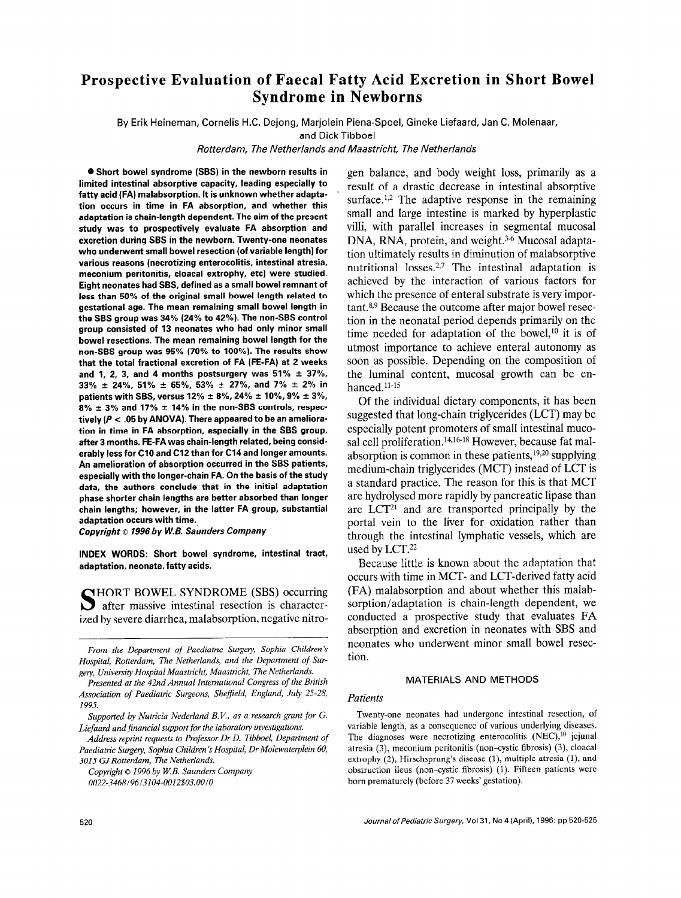# Prospective Evaluation of Faecal Fatty Acid Excretion in Short Bowel Syndrome in Newborns

By Erik Heineman, Cornelis H.C. Dejong, Marjolein Piena-Spoel, Gineke Liefaard, Jan C. Molenaar,

and Dick Tibboel

Rotterdam, The Netherlands and Maastricht, The Netherlands

0 Short bowel syndrome (SBS) in the newborn results in limited intestinal absorptive capacity, leading especially to fatty acid (FA) malabsorption. It is unknown whether adaptation occurs in time in FA absorption, and whether this adaptation is chain-length dependent. The aim of the present study was to prospectively evaluate FA absorption and excretion during SBS in the newborn. Twenty-one neonates who underwent small bowel resection (of variable length) for various reasons (necrotizing enterocolitis, intestinal atresia, meconium peritonitis, cloacal extrophy, etc) were studied. Eight neonates had SBS, defined as a small bowel remnant of less than 50% of the original small bowel length related to gestational age. The mean remaining small bowel length in the SBS group was 34% (24% to 42%). The non-SBS control group consisted of 13 neonates who had only minor small bowel resections. The mean remaining bowel length for the non-SBS group was 95% (70% to 100%). The results show that the total fractional excretion of FA (FE-FA) at 2 weeks and 1, 2, 3, and 4 months postsurgery was  $51\% \pm 37\%$ , 33%  $\pm$  24%, 51%  $\pm$  65%, 53%  $\pm$  27%, and 7%  $\pm$  2% in patients with SBS, versus 12%  $\pm$  8%, 24%  $\pm$  10%, 9%  $\pm$  3%.  $8\% \pm 3\%$  and 17%  $\pm$  14% in the non-SBS controls, respectively ( $P < 0.05$  by ANOVA). There appeared to be an amelioration in time in FA absorption, especially in the SBS group, after 3 months. FE-FA was chain-length related, being considerably less for Cl0 and Cl2 than for Cl4 and longer amounts.  $\alpha$ especially with the longer-chain Factor of the study of the study of the study of the study of the study of the study of the study of the study of the study of the study of the study of the study of the study of the study  $\alpha$  authors and the initial additional and  $\alpha$  and  $\alpha$  and  $\alpha$ phase shorter constant that we will absorbed the phase shorter chain lengths are better absorbed than longer chain lengths; however, in the latter FA group, substantial adaptation occurs with time.

Copyright © 1996 by W.B. Saunders Company

 $n_{\text{max}}$  and  $n_{\text{max}}$  and  $n_{\text{max}}$ 

SHORT BOWEL SYNDROME (SBS) occurring  $\sum$  after massive intestinal resection is character-<br>ized by severe diarrhea, malabsorption, negative nitro-

Address reprint requests to Professor Dr D. Tibboel, Department of Paediatric Surgery, Sophia Children's Hospital, Dr Molewaterplein 60, 3015 GJ Rotterdam, The Netherlands.

Copyright © 1996 by W.B. Saunders Company 0022-3468/96/3104-0012\$03.00/0

gen balance, and body weight loss, primarily as a . result of a drastic decrease in intestinal absorptive surface.<sup>1,2</sup> The adaptive response in the remaining small and large intestine is marked by hyperplastic villi, with parallel increases in segmental mucosal DNA, RNA, protein, and weight.<sup>3-6</sup> Mucosal adaptation ultimately results in diminution of malabsorptive nutritional losses.<sup>2,7</sup> The intestinal adaptation is achieved by the interaction of various factors for which the presence of enteral substrate is very important.8,9 Because the outcome after major bowel resection in the neonatal period depends primarily on the time needed for adaptation of the bowel,<sup>10</sup> it is of utmost importance to achieve enteral autonomy as soon as possible. Depending on the composition of the luminal content, mucosal growth can be enhanced. $11-15$ 

Of the individual dietary components, it has been suggested that long-chain triglycerides (LCT) may be especially potent promoters of small intestinal mucosal cell proliferation. 14,16-18 However, because fat malabsorption is common in these patients, $19,20$  supplying medium-chain triglycerides (MCT) instead of LCT is a standard practice. The reason for this is that MCT are hydrolysed more rapidly by pancreatic lipase than are LCT21 and are transported principally by the are  $D_{\text{eff}}$  and are transported principally by the portal vent to the liver for oxidation rather than through the intestinal lymphatic vessels, which are used by  $LCT$ .<sup>22</sup> Because little is known about the adaptation that

occurs much is MOWH about the adaptation that occurs with time in MCT- and LCT-derived fatty acid (FA) malabsorption and about whether this malabsorption/adaptation is chain-length dependent, we conducted a prospective study that evaluates FA absorption and excretion in neonates with SBS and neonates who underwent minor small bowel resection.

## MATERIALS AND METHODS

# Twenty-one neonates had undergone intestinal resection, of

Twenty-one neonates had undergone intestinal resection, of variable length, as a consequence of various underlying diseases. The diagnoses were necrotizing enterocolitis  $(NEC)$ , <sup>10</sup> jejunal atresia (3), meconium peritonitis (non-cystic fibrosis) (3), cloacal extrophy  $(2)$ , Hirschsprung's disease  $(1)$ , multiple atresia  $(1)$ , and obstruction ileus (non-cystic fibrosis) (1). Fifteen patients were born prematurely (before 37 weeks' gestation).

From the Department of Paediattic Surgery, Sophia Children's From the Department of Paediatric Surgery, Sophia Children's Hospital, Rotterdam, The Netherlands, and the Department of Surgery, University Hospital Maastricht, Maastricht, The Netherlands.

Presented at the 42nd Annual International Congress of the British Association of Paediatric Surgeons, Sheffield, England, July 25-28,  $95.$ 

Supported by Nutricia Nederland B.V., as a research grant for G. Liefaard and financial support for the laboratory investigations.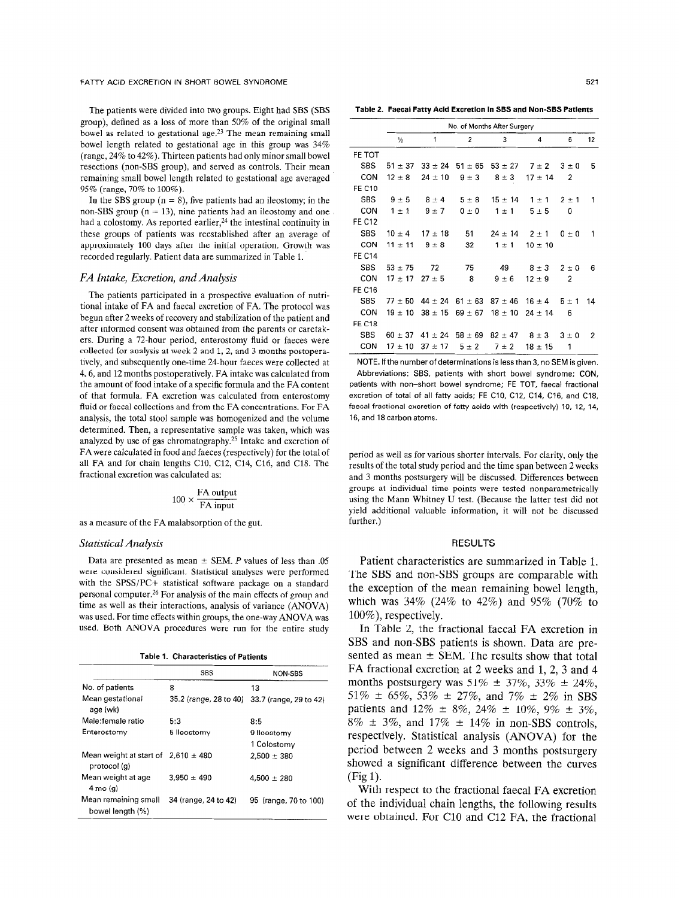The patients were divided into two groups. Eight had SBS (SBS group), defined as a loss of more than 50% of the original small bowel as related to gestational age.23 The mean remaining small bowel length related to gestational age in this group was 34% (range, 24% to 42%). Thirteen patients had only minor small bowel resections (non-SBS group), and served as controls. Their mean remaining small bowel length related to gestational age averaged 95% (range, 70% to 100%).

In the SBS group ( $n = 8$ ), five patients had an ileostomy; in the non-SBS group ( $n = 13$ ), nine patients had an ileostomy and one had a colostomy. As reported earlier,<sup>24</sup> the intestinal continuity in these groups of patients was reestablished after an average of approximately 100 days after the initial operation. Growth was recorded regularly. Patient data are summarized in Table 1.

## FA Intake, Excretion, and Analysis

The patients participated in a prospective evaluation of nutritional intake of FA and faecal excretion of FA. The protocol was begun after 2 weeks of recovery and stabilization of the patient and after informed consent was obtained from the parents or caretakers. During a 72.hour period, enterostomy fluid or faeces were collected for analysis at week 2 and 1, 2, and 3 months postoperatively, and subsequently one-time 24-hour faeces were collected at 4,6, and 12 months postoperatively. FA intake was calculated from the amount of food intake of a specific formula and the FA content of that formula. FA excretion was calculated from enterostomy fluid or faecal collections and from the FA concentrations. For FA  $\alpha$  and  $\alpha$  is the total stochastic mass homogenized and the volume  $\alpha$  and  $\alpha$ analysis, the four stoot sample was homogenized and the volume determined. Then, a representative sample was taken, which was analyzed by use of gas chromatography.<sup>25</sup> Intake and excretion of FA were calculated in food and faeces (respectively) for the total of all FA and for chain lengths C10, C12, C14, C16, and C18. The fractional excretion was calculated as:

$$
100 \times \frac{\text{FA output}}{\text{FA input}}
$$

# $D_{\rm eff}$  are presented as mean 2 SEM. P values of less than  $\sim$

Data are presented as mean  $\pm$  SEM. P values of less than .05 were considered significant. Statistical analyses were performed with the SPSS/PC+ statistical software package on a standard personal computer.<sup>26</sup> For analysis of the main effects of group and time as well as their interactions, analysis of variance (ANOVA) was used. For time effects within groups, the one-way ANOVA was used. Both ANOVA procedures were run for the entire study

Table 1. Characteristics of Patients

|                                                         | <b>SBS</b>           | NON-SBS                                       |
|---------------------------------------------------------|----------------------|-----------------------------------------------|
| No. of patients                                         | 8                    | 13                                            |
| Mean gestational<br>age (wk)                            |                      | 35.2 (range, 28 to 40) 33.7 (range, 29 to 42) |
| Male:female ratio                                       | 5:3                  | 8:5                                           |
| Enterostomy                                             | 5 lleostomy          | 9 lleostomy                                   |
|                                                         |                      | 1 Colostomy                                   |
| Mean weight at start of $2.610 \pm 480$<br>protocol (g) |                      | $2.500 \pm 380$                               |
| Mean weight at age<br>$4 \text{ mo} (q)$                | $3.950 \pm 490$      | $4.500 \pm 280$                               |
| Mean remaining small<br>bowel length (%)                | 34 (range, 24 to 42) | 95 (range, 70 to 100)                         |

Table 2. Faecal Fatty Acid Excretion in SBS and Non-SBS Patients

|               | No. of Months After Surgery |             |                         |                       |             |           |    |  |
|---------------|-----------------------------|-------------|-------------------------|-----------------------|-------------|-----------|----|--|
|               | $\frac{1}{2}$               | 1           | $\overline{a}$          | 3                     | 4           | 6         | 12 |  |
| FE TOT        |                             |             |                         |                       |             |           |    |  |
| <b>SBS</b>    | $51 \pm 37$                 |             | $33 \pm 24$ 51 $\pm 65$ | $53 \pm 27$ 7 $\pm 2$ |             | $3 \pm 0$ | 5  |  |
| CON           | $12 \pm 8$                  | $24 \pm 10$ | $9 \pm 3$               | $8 \pm 3$             | $17 \pm 14$ | 2         |    |  |
| <b>FE C10</b> |                             |             |                         |                       |             |           |    |  |
| <b>SBS</b>    | $9 \pm 5$                   | $8 \pm 4$   | $5 \pm 8$               | $15 \pm 14$           | $1 \pm 1$   | $2 + 1$   | 1  |  |
| CON           | $1 \pm 1$                   | $9 \pm 7$   | $0 \pm 0$               | $1 \pm 1$             | $5 \pm 5$   | 0         |    |  |
| <b>FE C12</b> |                             |             |                         |                       |             |           |    |  |
| <b>SBS</b>    | $10 \pm 4$                  | $17 \pm 18$ | 51                      | $24 \pm 14$           | $2 \pm 1$   | $0 \pm 0$ | 1  |  |
| CON           | $11 \pm 11$                 | $9 \pm 8$   | 32                      | $1 \pm 1$             | $10 \pm 10$ |           |    |  |
| <b>FE C14</b> |                             |             |                         |                       |             |           |    |  |
| <b>SBS</b>    | $53 + 75$                   | 72          | 75                      | 49                    | $8 \pm 3$   | $2 \pm 0$ | 6  |  |
| CON           | $17 \pm 17$ 27 $\pm 5$      |             | 8                       | $9 \pm 6$             | $12 \pm 9$  | 2         |    |  |
| <b>FE C16</b> |                             |             |                         |                       |             |           |    |  |
| <b>SBS</b>    | $77 + 50$                   | $44 \pm 24$ | $61 \pm 63$             | $87 \pm 46$           | $16 \pm 4$  | $5 \pm 1$ | 14 |  |
| CON           | $19 \pm 10$                 | $38 \pm 15$ | $69 \pm 67$             | $18 \pm 10$           | $24 \pm 14$ | 6         |    |  |
| <b>FE C18</b> |                             |             |                         |                       |             |           |    |  |
| <b>SBS</b>    | $60 \pm 37$                 | $41 \pm 24$ | $58 \pm 69$             | $82 \pm 47$           | $8 \pm 3$   | $3 \pm 0$ | 2  |  |
| CON           | $17 + 10$                   | $37 \pm 17$ | $5 \pm 2$               | $7 \pm 2$             | $18 \pm 15$ | 1         |    |  |

NOTE. If the number of determinations is less than 3, no SEM is given. Abbreviations: SBS, patients with short bowel syndrome; CON, procedurione; GDC, patients with enon-sower syndrome; GC  $P^{\text{max}}$  and their offers better by fractional  $F = \{ \bullet \}$ , rabbel fractional excretion of total of all fatty acids; FE C10, C12, C14, C16, and C18, the fact of the factional excretion of fatty acids with (respectively) 10, 12, 14, 16, and 18 carbon atoms,.

period as well as for various shorter intervals. For clarity, only the results of the total study period and the time span between 2 weeks and 3 months postsurgery will be discussed. Differences between groups at individual time points were tested nonparametrically using the Mann Whitney U test. (Because the latter test did not yield additional valuable information, it will not be discussed further.)

Patient characteristics are summarized in Table 1. The SBS and non-SBS groups are comparable with the exception of the mean remaining bowel length. which was  $34\%$  (24% to  $42\%$ ) and 95% (70% to  $100\%$ ), respectively.

In Table 2, the fractional faecal FA excretion in SBS and non-SBS patients is shown. Data are presented as mean  $\pm$  SEM. The results show that total FA fractional excretion at 2 weeks and 1, 2, 3 and 4 months postsurgery was  $51\% \pm 37\%$ ,  $33\% \pm 24\%$ ,  $51\% \pm 65\%, 53\% \pm 27\%, \text{ and } 7\% \pm 2\% \text{ in SBS}$ patients and  $12\% \pm 8\%, 24\% \pm 10\%, 9\% \pm 3\%,$  $8\% \pm 3\%$ , and  $17\% \pm 14\%$  in non-SBS controls, respectively. Statistical analysis (ANOVA) for the period between 2 weeks and 3 months postsurgery showed a significant difference between the curves  $\mathfrak{g}(1)$ 

With respect to the fractional faecal FA excretion of the individual chain lengths, the following results were obtained. For C10 and C12 FA, the fractional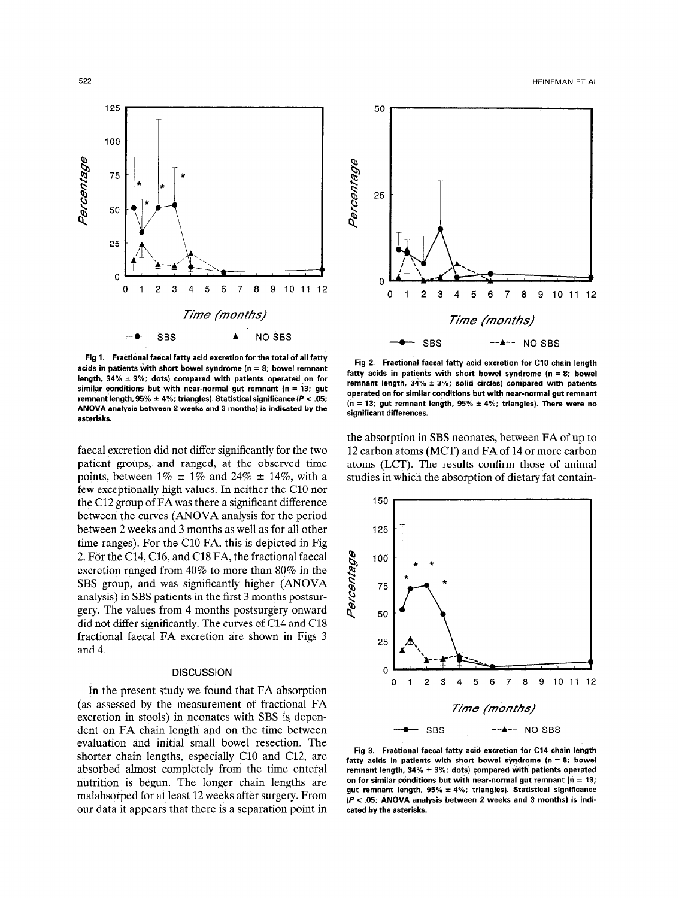Fig 1. Fractional faecal fatty acid excretion for the total of all fatty acids in patients with short bowel syndrome ( $n = 8$ ; bowel remnant length,  $34\% \pm 3\%$ ; dots) compared with patients operated on for similar conditions but with near-normal gut remnant ( $n = 13$ ; gut remnant length, 95%  $\pm$  4%; triangles). Statistical significance (P < .05; ANOVA analysis between 2 weeks and 3 months) is indicated by the asterisks.

faecal excretion did not differ significantly for the two patient groups, and ranged, at the observed time points, between  $1\% \pm 1\%$  and  $24\% \pm 14\%$ , with a few exceptionally high values. In neither the Cl0 nor the Cl2 group of FA was there a significant difference between the curves (ANOVA analysis for the period between 2 weeks and 3 months as well as for all other time ranges). For the Cl0 FA, this is depicted in Fig 2. For the C14, C16, and Cl8 FA, the fractional faecal excretion ranged from 40% to more than 80% in the SBS group, and was significantly higher (ANOVA analysis) in SBS patients in the first 3 months postsurgery. The values from 4 months postsurgery onward did not differ significantly. The curves of Cl4 and Cl8 fractional faecal FA excretion are shown in Figs 3 and 4.

In the present study we found that FA absorption (as assessed by the measurement of fractional FA excretion in stools) in neonates with SBS is dependent on FA chain length and on the time between evaluation and initial small bowel resection. The shorter chain lengths, especially C10 and C12, are absorbed almost completely from the time enteral nutrition is begun. The longer chain lengths are malabsorped for at least 12 weeks after surgery. From our data it appears that there is a separation point in

Fig 2. Fractional faecal fatty acid excretion for Cl0 chain length fatty acids in patients with short bowel syndrome ( $n = 8$ ; bowel remnant length,  $34\% \pm 3\%$ ; solid circles) compared with patients operated on for similar conditions but with near-normal gut remnant (n = 13; gut remnant length,  $95\% \pm 4\%$ ; triangles). There were no significant differences.

the absorption in SBS neonates, between FA of up to 12 carbon atoms (MCT) and FA of 14 or more carbon atoms (LCT). The results confirm those of animal studies in which the absorption of dietary fat contain-



Fig 3. Fractional faecal fatty acid excretion for Cl4 chain length fatty acids in patients with short bowel syndrome  $(n = 8;$  bowel remnant length,  $34\% \pm 3\%$ ; dots) compared with patients operated on for similar conditions but with near-normal gut remnant ( $n = 13$ ; gut remnant length,  $95\% \pm 4\%$ ; triangles). Statistical significance  $(P < .05;$  ANOVA analysis between 2 weeks and 3 months) is indicated by the asterisks.





e

150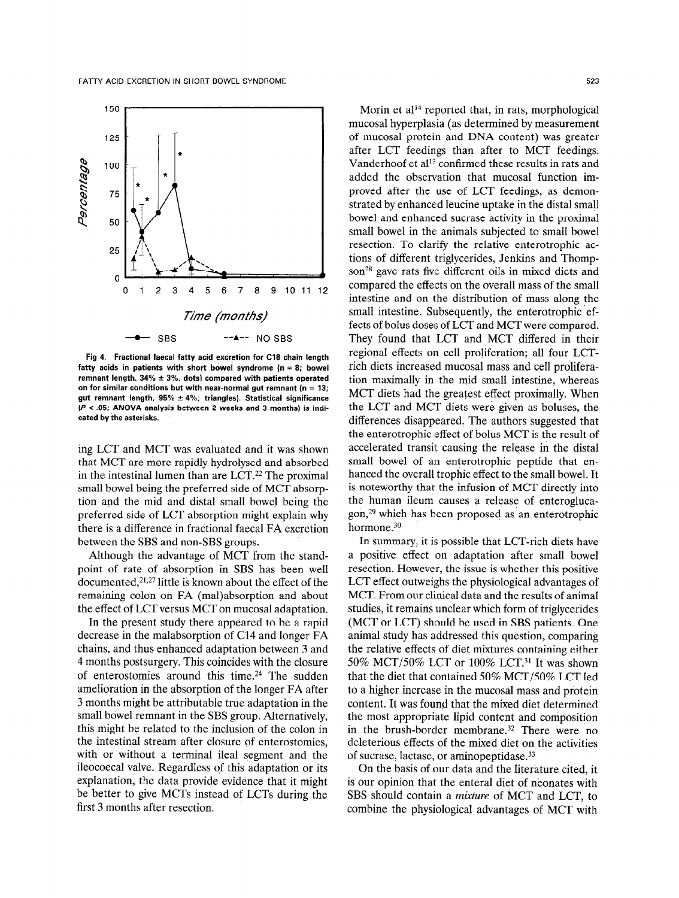

Fig 4. Fractional faecal fatty acid excretion for Cl8 chain length fatty acids in patients with short bowel syndrome ( $n = 8$ ; bowel remnant length,  $34\% \pm 3\%$ , dots) compared with patients operated on for similar conditions but with near-normal gut remnant ( $n = 13$ ; gut remnant length,  $95\% \pm 4\%$ ; triangles). Statistical significance  $(P < .05;$  ANOVA analysis between 2 weeks and 3 months) is indicated by the asterisks.

ing LCT and MCT was evaluated and it was shown that MCT are more rapidly hydrolysed and absorbed in the intestinal lumen than are  $LCT<sup>22</sup>$  The proximal small bowel being the preferred side of MCT absorption and the mid and distal small bowel being the preferred side of LCT absorption might explain why there is a difference in fractional faecal FA excretion between the SBS and non-SBS groups.

Although the advantage of MCT from the standpoint of rate of absorption in SBS has been well documented,<sup>21,27</sup> little is known about the effect of the remaining colon on FA (mal)absorption and about the effect of LCT versus MCT on mucosal adaptation.

In the present study there appeared to be a rapid decrease in the malabsorption of Cl4 and longer FA chains, and thus enhanced adaptation between 3 and 4 months postsurgery. This coincides with the closure of enterostomies around this time.<sup>24</sup> The sudden amelioration in the absorption of the longer FA after 3 months might be attributable true adaptation in the small bowel remnant in the SBS group. Alternatively, this might be related to the inclusion of the colon in the intestinal stream after closure of enterostomies, with or without a terminal ileal segment and the ileocoecal valve. Regardless of this adaptation or its explanation, the data provide evidence that it might be better to give MCTs instead of LCTs during the first 3 months after resection.

Morin et al<sup>14</sup> reported that, in rats, morphological mucosal hyperplasia (as determined by measurement of mucosal protein and DNA content) was greater after LCT feedings than after to MCT feedings. Vanderhoof et al<sup>13</sup> confirmed these results in rats and added the observation that mucosal function improved after the use of LCT feedings, as demonstrated by enhanced leucine uptake in the distal small bowel and enhanced sucrase activity in the proximal small bowel in the animals subjected to small bowel resection. To clarify the relative enterotrophic actions of different triglycerides, Jenkins and Thompson<sup>28</sup> gave rats five different oils in mixed diets and compared the effects on the overall mass of the small intestine and on the distribution of mass along the small intestine. Subsequently, the enterotrophic effects of bolus doses of LCT and MCT were compared. They found that LCT and MCT differed in their regional effects on cell proliferation; all four LCTrich diets increased mucosal mass and cell proliferation maximally in the mid small intestine, whereas MCT diets had the greatest effect proximally. When the LCT and MCT diets were given as boluses, the differences disappeared. The authors suggested that the enterotrophic effect of bolus MCT is the result of accelerated transit causing the release in the distal small bowel of am enterotrophic peptide that enhanced the overall trophic effect to the small bowel. It is noteworthy that the infusion of MCT directly into the human ileum causes a release of enteroglucagon,29 which has been proposed as an enterotrophic hormone.<sup>30</sup>

In summary, it is possible that LCT-rich diets have a positive effect on adaptation after small bowel resection. However, the issue is whether this positive LCT effect outweighs the physiological advantages of MCT. From our clinical data and the results of animal studies, it remains unclear which form of triglycerides (MCT or LCT) should be used in SBS patients. One animal study has addressed this question, comparing the relative effects of diet mixtures containing either 50% MCT/SO% LCT or 100% LCT.31 It was shown that the diet that contained 50% MCT/SO% LCT led to a higher increase in the mucosal mass and protein content. It was found that the mixed diet determined the most appropriate lipid content and composition in the brush-border membrane.32 There were no deleterious effects of the mixed diet on the activities of sucrase, lactase, or aminopeptidase.33

On the basis of our data and the literature cited, it is our opinion that the enteral diet of neonates with SBS should contain a mixture of MCT and LCT, to combine the physiological advantages of MCT with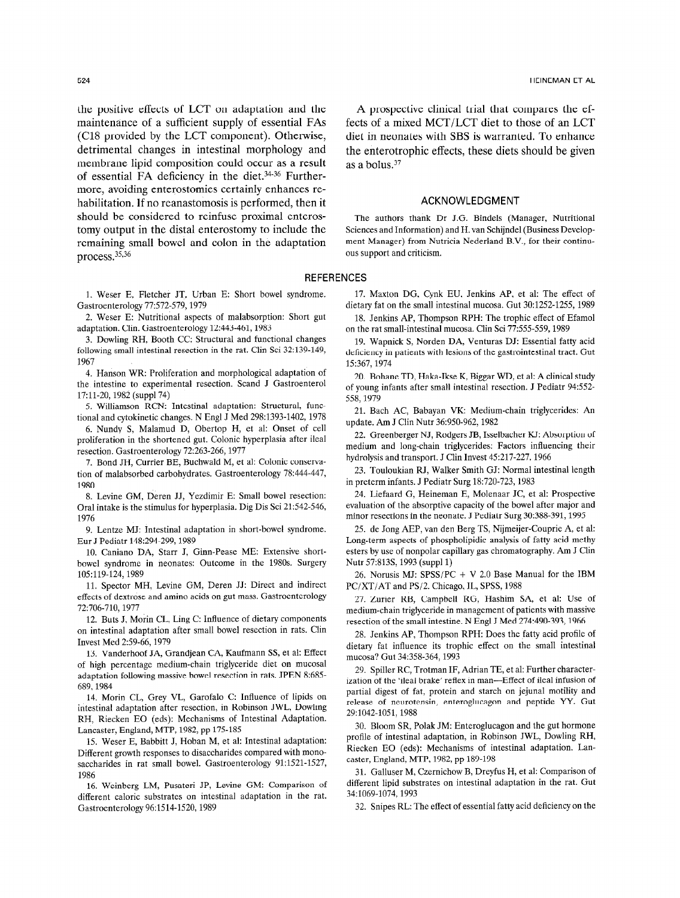the positive effects of LCT on adaptation and the maintenance of a sufficient supply of essential FAs (Cl8 provided by the LCT component). Otherwise, detrimental changes in intestinal morphology and membrane lipid composition could occur as a result of essential FA deficiency in the diet.34-36 Furthermore, avoiding enterostomies certainly enhances rehabilitation. If no reanastomosis is performed, then it should be considered to reinfuse proximal enterostomy output in the distal enterostomy to include the remaining small bowel and colon in the adaptation process.35,36

1. Weser E, Fletcher JT, Urban E: Short bowel syndrome. Gastroenterology 77:572-579, 1979

2. Weser E: Nutritional aspects of malabsorption: Short gut adaptation. Clin. Gastroenterology 12:443-461,1983

3. Dowling RH, Booth CC: Structural and functional changes following small intestinal resection in the rat. Clin Sci 32:139-149, 1967

4. Hanson WR: Proliferation and morphological adaptation of the intestine to experimental resection. Scand J Gastroenterol 17:11-20,1982 (suppl74)

5. Williamson RCN: Intestinal adaptation: Structural, functional and cytokinetic changes. N Engl J Med 298:1393-1402, 1978

6. Nundy S, Malamud D, Obertop H, et al: Onset of cell proliferation in the shortened gut. Colonic hyperplasia after ileal resection. Gastroenterology 72:263-266,1977

7. Bond JH, Currier BE, Buchwald M, et al: Colonic conservation of malabsorbed carbohydrates. Gastroenterology 78:444-447, 1980

8. Levine GM, Deren JJ, Yezdimir E: Small bowel resection: Oral intake is the stimulus for hyperplasia. Dig Dis Sci 21:542-546, 1976

9. Lentze MJ: Intestinal adaptation in short-bowel syndrome. Eur J Pediatr 148:294-299, 1989

10. Caniano DA, Starr J, Ginn-Pease ME: Extensive shortbowel syndrome in neonates: Outcome in the 1980s. Surgery 105:119-124,1989

11. Spector MH, Levine GM, Deren JJ: Direct and indirect effects of dextrose and amino acids on gut mass. Gastroenterology 72:706-710, 1977

12. Buts J, Morin CL, Ling C: Influence of dietary components on intestinal adaptation after small bowel resection in rats. Clin Invest Med 2:59-66, 1979

13. Vanderhoof JA, Grandjean CA, Kaufmann SS, et al: Effect of high percentage medium-chain triglyceride diet on mucosal adaptation following massive bowel resection in rats. JPEN 8:685- 689.1984

14. Morin CL, Grey VL, Garofalo C: Influence of lipids on intestinal adaptation after resection, in Robinson JWL, Dowling RH, Riecken EO (eds): Mechanisms of Intestinal Adaptation. Lancaster, England, MTP, 1982, pp 175-185

15. Weser E, Babbitt J, Hoban M, et al: Intestinal adaptation: Different growth responses to disaccharides compared with monosaccharides in rat small bowel. Gastroenterology 91:1521-1527, 1986

16. Weinberg LM, Pusateri JP, Levine GM: Comparison of different caloric substrates on intestinal adaptation in the rat. Gastroenterology 96:1514-1520,1989

A prospective clinical trial that compares the effects of a mixed MCT/LCT diet to those of an LCT diet in neonates with SBS is warranted. To enhance the enterotrophic effects, these diets should be given as a bolus.37

## ACKNOWLEDGMENT

The authors thank Dr J.G. Bindels (Manager, Nutritional Sciences and Information) and H. van Schijndel (Business Development Manager) from Nutricia Nederland B.V., for their continuous support and criticism.

### REFERENCES

17. Maxton DG, Cynk EU, Jenkins AP, et al: The effect of dietary fat on the small intestinal mucosa. Gut 30:1252-1255, 1989

18. Jenkins AP, Thompson RPH: The trophic effect of Efamol on the rat small-intestinal mucosa. Clin Sci 77:555-559,1989

19. Wapnick S, Norden DA, Venturas DJ: Essential fatty acid deficiency in patients with lesions of the gastrointestinal tract. Gut 15:367, 1974

20. Bohane TD, Haka-Ikse K, Biggar WD, et al: A clinical study of young infants after small intestinal resection. J Pediatr 94:552- 558,1979

21. Bach AC, Babayan VK: Medium-chain triglycerides: An update. Am J Clin Nutr 36:950-962, 1982

22. Greenberger NJ, Rodgers JB, Isselbacher KJ: Absorption of medium and long-chain triglycerides: Factors influencing their hydrolysis and transport. J Clin Invest 45:217-227,1966

23. Touloukian RJ, Walker Smith GJ: Normal intestinal length in preterm infants. J Pediatr Surg 18:720-723, 1983

24. Liefaard G, Heineman E, Molenaar JC, et al: Prospective evaluation of the absorptive capacity of the bowel after major and minor resections in the neonate. J Pediatr Surg 30:388-391, 1995

25. de Jong AEP, van den Berg TS, Nijmeijer-Couprie A, et al: Long-term aspects of phospholipidic analysis of fatty acid methy esters by use of nonpolar capillary gas chromatography. Am J Clin Nutr 57:8133, 1993 (suppl 1)

26. Norusis MJ: SPSS/PC + V 2.0 Base Manual for the IBM PC/XT/AT and PS/2. Chicago, IL, SPSS, 1988

27. Zurier RB, Campbell RG, Hashim SA, et al: Use of medium-chain triglyceride in management of patients with massive resection of the small intestine. N Engl J Med 274:490-393, 1966

28. Jenkins AP, Thompson RPH: Does the fatty acid profile of dietary fat influence its trophic effect on the small intestinal mucosa? Gut 34:358-364,1993

29. Spiller RC, Trotman IF, Adrian TE, et al: Further characterization of the 'ileal brake' reflex in man-Effect of ileal infusion of partial digest of fat, protein and starch on jejunal motility and release of neurotensin, enteroglucagon and peptide YY. Gut 29:1042-1051, 1988

30. Bloom SR, Polak JM: Enteroglucagon and the gut hormone profile of intestinal adaptation, in Robinson JWL, Dowling RH, Riecken EO (eds): Mechanisms of intestinal adaptation. Lancaster, England, MTP, 1982, pp 189-198

31. Galluser M, Czernichow B, Dreyfus H, et al: Comparison of different lipid substrates on intestinal adaptation in the rat. Gut 34:1069-1074, 1993

32. Snipes RL: The effect of essential fatty acid deficiency on the